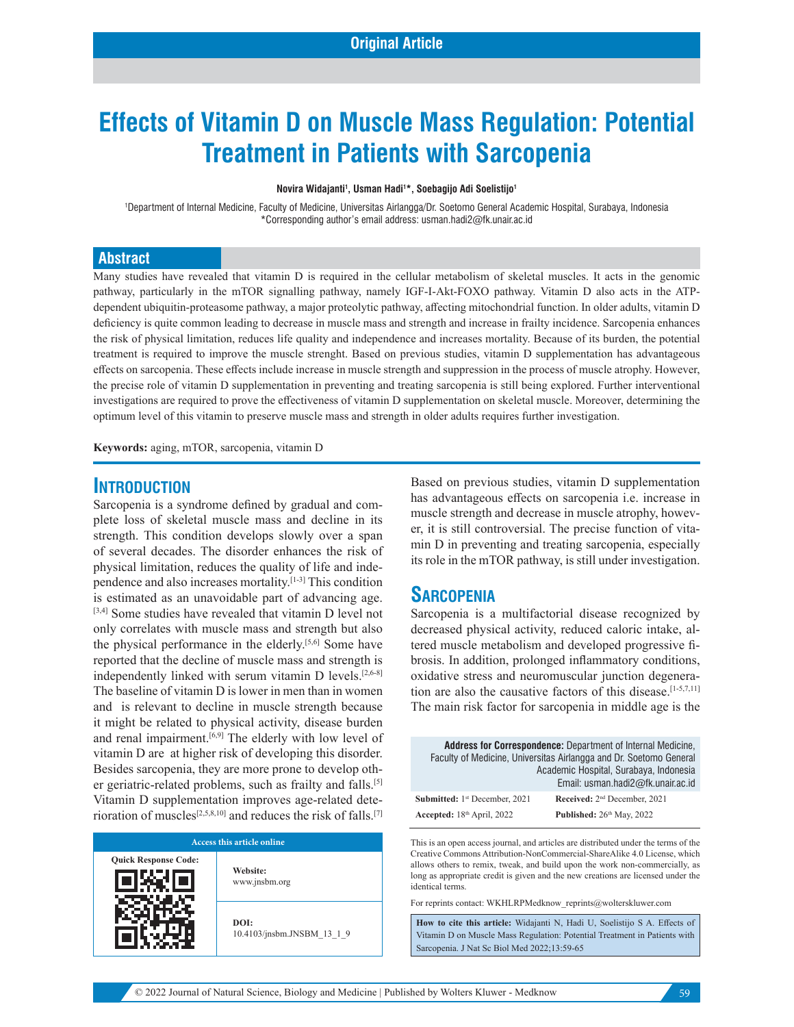# **Effects of Vitamin D on Muscle Mass Regulation: Potential Treatment in Patients with Sarcopenia**

**Novira Widajanti1 , Usman Hadi1 \*, Soebagijo Adi Soelistijo1**

1 Department of Internal Medicine, Faculty of Medicine, Universitas Airlangga/Dr. Soetomo General Academic Hospital, Surabaya, Indonesia \*Corresponding author's email address: usman.hadi2@fk.unair.ac.id

#### **Abstract**

Many studies have revealed that vitamin D is required in the cellular metabolism of skeletal muscles. It acts in the genomic pathway, particularly in the mTOR signalling pathway, namely IGF-I-Akt-FOXO pathway. Vitamin D also acts in the ATPdependent ubiquitin-proteasome pathway, a major proteolytic pathway, affecting mitochondrial function. In older adults, vitamin D deficiency is quite common leading to decrease in muscle mass and strength and increase in frailty incidence. Sarcopenia enhances the risk of physical limitation, reduces life quality and independence and increases mortality. Because of its burden, the potential treatment is required to improve the muscle strenght. Based on previous studies, vitamin D supplementation has advantageous effects on sarcopenia. These effects include increase in muscle strength and suppression in the process of muscle atrophy. However, the precise role of vitamin D supplementation in preventing and treating sarcopenia is still being explored. Further interventional investigations are required to prove the effectiveness of vitamin D supplementation on skeletal muscle. Moreover, determining the optimum level of this vitamin to preserve muscle mass and strength in older adults requires further investigation.

**Keywords:** aging, mTOR, sarcopenia, vitamin D

#### **INTRODUCTION**

Sarcopenia is a syndrome defined by gradual and complete loss of skeletal muscle mass and decline in its strength. This condition develops slowly over a span of several decades. The disorder enhances the risk of physical limitation, reduces the quality of life and independence and also increases mortality.[1-3] This condition is estimated as an unavoidable part of advancing age. [3,4] Some studies have revealed that vitamin D level not only correlates with muscle mass and strength but also the physical performance in the elderly.[5,6] Some have reported that the decline of muscle mass and strength is independently linked with serum vitamin D levels.[2,6-8] The baseline of vitamin D is lower in men than in women and is relevant to decline in muscle strength because it might be related to physical activity, disease burden and renal impairment.<sup>[6,9]</sup> The elderly with low level of vitamin D are at higher risk of developing this disorder. Besides sarcopenia, they are more prone to develop other geriatric-related problems, such as frailty and falls.<sup>[5]</sup> Vitamin D supplementation improves age-related deterioration of muscles<sup>[2,5,8,10]</sup> and reduces the risk of falls.<sup>[7]</sup>

| Access this article online  |                                    |
|-----------------------------|------------------------------------|
| <b>Quick Response Code:</b> | Website:<br>www.jnsbm.org          |
|                             | DOI:<br>10.4103/jnsbm.JNSBM 13 1 9 |

Based on previous studies, vitamin D supplementation has advantageous effects on sarcopenia i.e. increase in muscle strength and decrease in muscle atrophy, however, it is still controversial. The precise function of vitamin D in preventing and treating sarcopenia, especially its role in the mTOR pathway, is still under investigation.

#### **SARCOPENIA**

Sarcopenia is a multifactorial disease recognized by decreased physical activity, reduced caloric intake, altered muscle metabolism and developed progressive fibrosis. In addition, prolonged inflammatory conditions, oxidative stress and neuromuscular junction degeneration are also the causative factors of this disease. $[1-5,7,11]$ The main risk factor for sarcopenia in middle age is the

|                               | <b>Address for Correspondence: Department of Internal Medicine,</b><br>Faculty of Medicine, Universitas Airlangga and Dr. Soetomo General<br>Academic Hospital, Surabaya, Indonesia<br>Email: usman.hadi2@fk.unair.ac.id |
|-------------------------------|--------------------------------------------------------------------------------------------------------------------------------------------------------------------------------------------------------------------------|
| Submitted: 1st December, 2021 | Received: 2 <sup>nd</sup> December, 2021                                                                                                                                                                                 |
| Accepted: $18th$ April, 2022  | Published: 26th May, 2022                                                                                                                                                                                                |

This is an open access journal, and articles are distributed under the terms of the Creative Commons Attribution‑NonCommercial‑ShareAlike 4.0 License, which allows others to remix, tweak, and build upon the work non-commercially, as long as appropriate credit is given and the new creations are licensed under the identical terms.

For reprints contact: WKHLRPMedknow\_reprints@wolterskluwer.com

**How to cite this article:** Widajanti N, Hadi U, Soelistijo S A. Effects of Vitamin D on Muscle Mass Regulation: Potential Treatment in Patients with Sarcopenia. J Nat Sc Biol Med 2022;13:59-65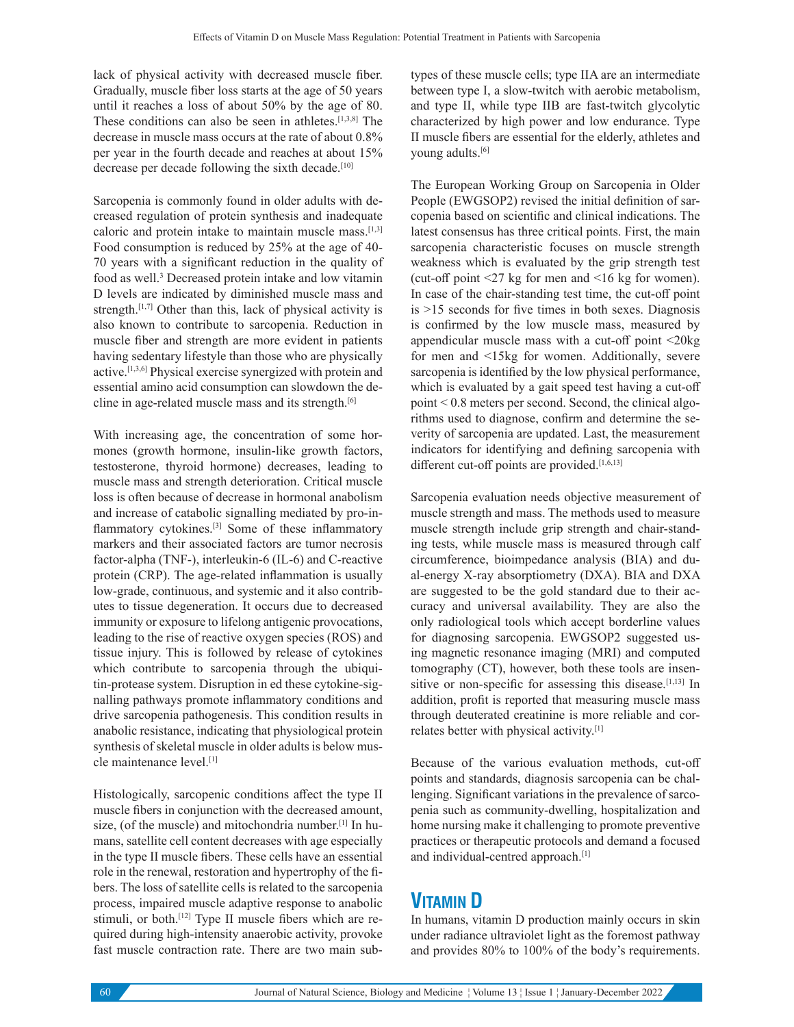lack of physical activity with decreased muscle fiber. Gradually, muscle fiber loss starts at the age of 50 years until it reaches a loss of about 50% by the age of 80. These conditions can also be seen in athletes.[1,3,8] The decrease in muscle mass occurs at the rate of about 0.8% per year in the fourth decade and reaches at about 15% decrease per decade following the sixth decade.<sup>[10]</sup>

Sarcopenia is commonly found in older adults with decreased regulation of protein synthesis and inadequate caloric and protein intake to maintain muscle mass.[1,3] Food consumption is reduced by 25% at the age of 40- 70 years with a significant reduction in the quality of food as well.<sup>3</sup> Decreased protein intake and low vitamin D levels are indicated by diminished muscle mass and strength.<sup>[1,7]</sup> Other than this, lack of physical activity is also known to contribute to sarcopenia. Reduction in muscle fiber and strength are more evident in patients having sedentary lifestyle than those who are physically active.[1,3,6] Physical exercise synergized with protein and essential amino acid consumption can slowdown the decline in age-related muscle mass and its strength.[6]

With increasing age, the concentration of some hormones (growth hormone, insulin-like growth factors, testosterone, thyroid hormone) decreases, leading to muscle mass and strength deterioration. Critical muscle loss is often because of decrease in hormonal anabolism and increase of catabolic signalling mediated by pro-inflammatory cytokines.[3] Some of these inflammatory markers and their associated factors are tumor necrosis factor-alpha (TNF-), interleukin-6 (IL-6) and C-reactive protein (CRP). The age-related inflammation is usually low-grade, continuous, and systemic and it also contributes to tissue degeneration. It occurs due to decreased immunity or exposure to lifelong antigenic provocations, leading to the rise of reactive oxygen species (ROS) and tissue injury. This is followed by release of cytokines which contribute to sarcopenia through the ubiquitin-protease system. Disruption in ed these cytokine-signalling pathways promote inflammatory conditions and drive sarcopenia pathogenesis. This condition results in anabolic resistance, indicating that physiological protein synthesis of skeletal muscle in older adults is below muscle maintenance level.[1]

Histologically, sarcopenic conditions affect the type II muscle fibers in conjunction with the decreased amount, size, (of the muscle) and mitochondria number.<sup>[1]</sup> In humans, satellite cell content decreases with age especially in the type II muscle fibers. These cells have an essential role in the renewal, restoration and hypertrophy of the fibers. The loss of satellite cells is related to the sarcopenia process, impaired muscle adaptive response to anabolic stimuli, or both.<sup>[12]</sup> Type II muscle fibers which are required during high-intensity anaerobic activity, provoke fast muscle contraction rate. There are two main subtypes of these muscle cells; type IIA are an intermediate between type I, a slow-twitch with aerobic metabolism, and type II, while type IIB are fast-twitch glycolytic characterized by high power and low endurance. Type II muscle fibers are essential for the elderly, athletes and young adults.[6]

The European Working Group on Sarcopenia in Older People (EWGSOP2) revised the initial definition of sarcopenia based on scientific and clinical indications. The latest consensus has three critical points. First, the main sarcopenia characteristic focuses on muscle strength weakness which is evaluated by the grip strength test (cut-off point <27 kg for men and <16 kg for women). In case of the chair-standing test time, the cut-off point is >15 seconds for five times in both sexes. Diagnosis is confirmed by the low muscle mass, measured by appendicular muscle mass with a cut-off point <20kg for men and <15kg for women. Additionally, severe sarcopenia is identified by the low physical performance, which is evaluated by a gait speed test having a cut-off point < 0.8 meters per second. Second, the clinical algorithms used to diagnose, confirm and determine the severity of sarcopenia are updated. Last, the measurement indicators for identifying and defining sarcopenia with different cut-off points are provided.<sup>[1,6,13]</sup>

Sarcopenia evaluation needs objective measurement of muscle strength and mass. The methods used to measure muscle strength include grip strength and chair-standing tests, while muscle mass is measured through calf circumference, bioimpedance analysis (BIA) and dual-energy X-ray absorptiometry (DXA). BIA and DXA are suggested to be the gold standard due to their accuracy and universal availability. They are also the only radiological tools which accept borderline values for diagnosing sarcopenia. EWGSOP2 suggested using magnetic resonance imaging (MRI) and computed tomography (CT), however, both these tools are insensitive or non-specific for assessing this disease.<sup>[1,13]</sup> In addition, profit is reported that measuring muscle mass through deuterated creatinine is more reliable and correlates better with physical activity.[1]

Because of the various evaluation methods, cut-off points and standards, diagnosis sarcopenia can be challenging. Significant variations in the prevalence of sarcopenia such as community-dwelling, hospitalization and home nursing make it challenging to promote preventive practices or therapeutic protocols and demand a focused and individual-centred approach.[1]

#### **VITAMIN D**

In humans, vitamin D production mainly occurs in skin under radiance ultraviolet light as the foremost pathway and provides 80% to 100% of the body's requirements.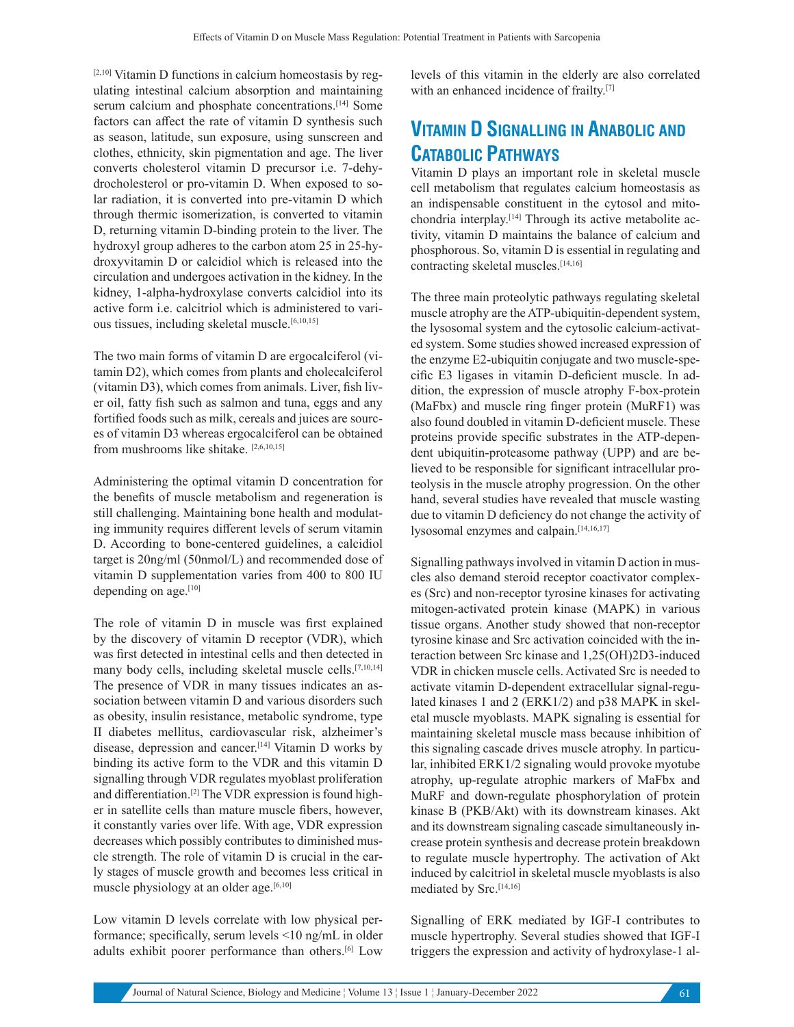[2,10] Vitamin D functions in calcium homeostasis by regulating intestinal calcium absorption and maintaining serum calcium and phosphate concentrations.<sup>[14]</sup> Some factors can affect the rate of vitamin D synthesis such as season, latitude, sun exposure, using sunscreen and clothes, ethnicity, skin pigmentation and age. The liver converts cholesterol vitamin D precursor i.e. 7-dehydrocholesterol or pro-vitamin D. When exposed to solar radiation, it is converted into pre-vitamin D which through thermic isomerization, is converted to vitamin D, returning vitamin D-binding protein to the liver. The hydroxyl group adheres to the carbon atom 25 in 25-hydroxyvitamin D or calcidiol which is released into the circulation and undergoes activation in the kidney. In the kidney, 1-alpha-hydroxylase converts calcidiol into its active form i.e. calcitriol which is administered to various tissues, including skeletal muscle.[6,10,15]

The two main forms of vitamin D are ergocalciferol (vitamin D2), which comes from plants and cholecalciferol (vitamin D3), which comes from animals. Liver, fish liver oil, fatty fish such as salmon and tuna, eggs and any fortified foods such as milk, cereals and juices are sources of vitamin D3 whereas ergocalciferol can be obtained from mushrooms like shitake. [2,6,10,15]

Administering the optimal vitamin D concentration for the benefits of muscle metabolism and regeneration is still challenging. Maintaining bone health and modulating immunity requires different levels of serum vitamin D. According to bone-centered guidelines, a calcidiol target is 20ng/ml (50nmol/L) and recommended dose of vitamin D supplementation varies from 400 to 800 IU depending on age.<sup>[10]</sup>

The role of vitamin D in muscle was first explained by the discovery of vitamin D receptor (VDR), which was first detected in intestinal cells and then detected in many body cells, including skeletal muscle cells.[7,10,14] The presence of VDR in many tissues indicates an association between vitamin D and various disorders such as obesity, insulin resistance, metabolic syndrome, type II diabetes mellitus, cardiovascular risk, alzheimer's disease, depression and cancer.[14] Vitamin D works by binding its active form to the VDR and this vitamin D signalling through VDR regulates myoblast proliferation and differentiation.[2] The VDR expression is found higher in satellite cells than mature muscle fibers, however, it constantly varies over life. With age, VDR expression decreases which possibly contributes to diminished muscle strength. The role of vitamin D is crucial in the early stages of muscle growth and becomes less critical in muscle physiology at an older age.<sup>[6,10]</sup>

Low vitamin D levels correlate with low physical performance; specifically, serum levels <10 ng/mL in older adults exhibit poorer performance than others.[6] Low

levels of this vitamin in the elderly are also correlated with an enhanced incidence of frailty.[7]

# **VITAMIN D SIGNALLING IN ANABOLIC AND CATABOLIC PATHWAYS**

Vitamin D plays an important role in skeletal muscle cell metabolism that regulates calcium homeostasis as an indispensable constituent in the cytosol and mitochondria interplay.[14] Through its active metabolite activity, vitamin D maintains the balance of calcium and phosphorous. So, vitamin D is essential in regulating and contracting skeletal muscles.[14,16]

The three main proteolytic pathways regulating skeletal muscle atrophy are the ATP-ubiquitin-dependent system, the lysosomal system and the cytosolic calcium-activated system. Some studies showed increased expression of the enzyme E2-ubiquitin conjugate and two muscle-specific E3 ligases in vitamin D-deficient muscle. In addition, the expression of muscle atrophy F-box-protein (MaFbx) and muscle ring finger protein (MuRF1) was also found doubled in vitamin D-deficient muscle. These proteins provide specific substrates in the ATP-dependent ubiquitin-proteasome pathway (UPP) and are believed to be responsible for significant intracellular proteolysis in the muscle atrophy progression. On the other hand, several studies have revealed that muscle wasting due to vitamin D deficiency do not change the activity of lysosomal enzymes and calpain.[14,16,17]

Signalling pathways involved in vitamin D action in muscles also demand steroid receptor coactivator complexes (Src) and non-receptor tyrosine kinases for activating mitogen-activated protein kinase (MAPK) in various tissue organs. Another study showed that non-receptor tyrosine kinase and Src activation coincided with the interaction between Src kinase and 1,25(OH)2D3-induced VDR in chicken muscle cells. Activated Src is needed to activate vitamin D-dependent extracellular signal-regulated kinases 1 and 2 (ERK1/2) and p38 MAPK in skeletal muscle myoblasts. MAPK signaling is essential for maintaining skeletal muscle mass because inhibition of this signaling cascade drives muscle atrophy. In particular, inhibited ERK1/2 signaling would provoke myotube atrophy, up-regulate atrophic markers of MaFbx and MuRF and down-regulate phosphorylation of protein kinase B (PKB/Akt) with its downstream kinases. Akt and its downstream signaling cascade simultaneously increase protein synthesis and decrease protein breakdown to regulate muscle hypertrophy. The activation of Akt induced by calcitriol in skeletal muscle myoblasts is also mediated by Src.<sup>[14,16]</sup>

Signalling of ERK mediated by IGF-I contributes to muscle hypertrophy. Several studies showed that IGF-I triggers the expression and activity of hydroxylase-1 al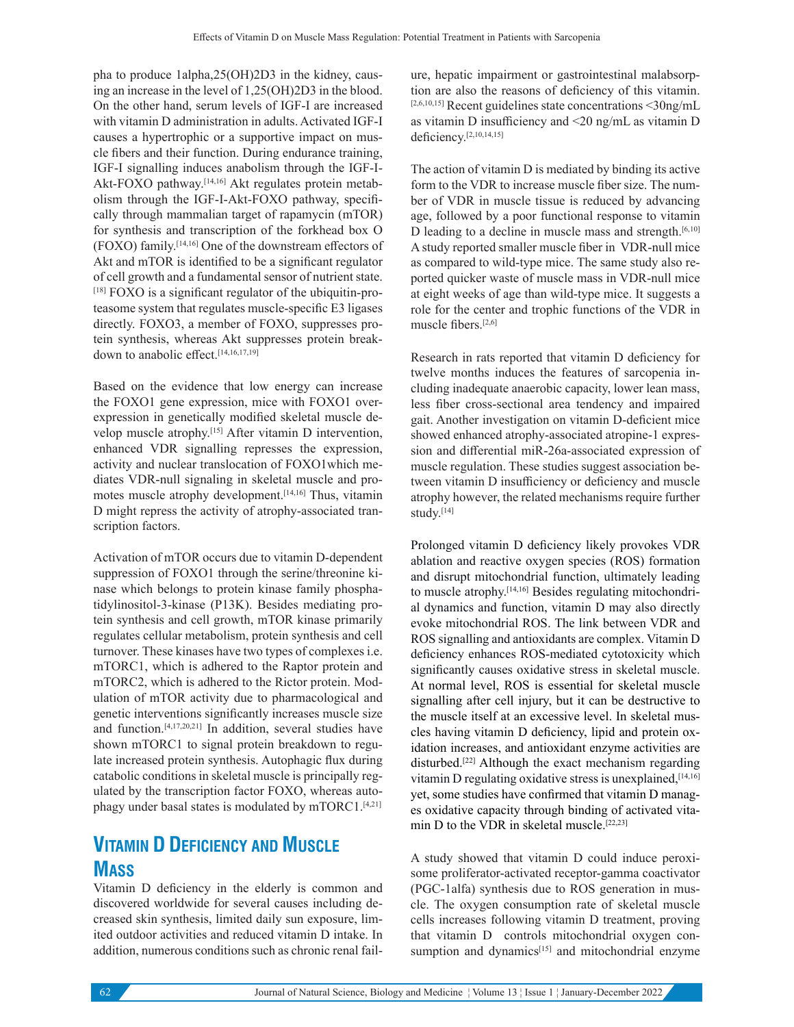pha to produce 1alpha,25(OH)2D3 in the kidney, causing an increase in the level of 1,25(OH)2D3 in the blood. On the other hand, serum levels of IGF-I are increased with vitamin D administration in adults. Activated IGF-I causes a hypertrophic or a supportive impact on muscle fibers and their function. During endurance training, IGF-I signalling induces anabolism through the IGF-I-Akt-FOXO pathway.[14,16] Akt regulates protein metabolism through the IGF-I-Akt-FOXO pathway, specifically through mammalian target of rapamycin (mTOR) for synthesis and transcription of the forkhead box O (FOXO) family.[14,16] One of the downstream effectors of Akt and mTOR is identified to be a significant regulator of cell growth and a fundamental sensor of nutrient state. [18] FOXO is a significant regulator of the ubiquitin-proteasome system that regulates muscle-specific E3 ligases directly. FOXO3, a member of FOXO, suppresses protein synthesis, whereas Akt suppresses protein breakdown to anabolic effect.[14,16,17,19]

Based on the evidence that low energy can increase the FOXO1 gene expression, mice with FOXO1 overexpression in genetically modified skeletal muscle develop muscle atrophy.[15] After vitamin D intervention, enhanced VDR signalling represses the expression, activity and nuclear translocation of FOXO1which mediates VDR-null signaling in skeletal muscle and promotes muscle atrophy development.<sup>[14,16]</sup> Thus, vitamin D might repress the activity of atrophy-associated transcription factors.

Activation of mTOR occurs due to vitamin D-dependent suppression of FOXO1 through the serine/threonine kinase which belongs to protein kinase family phosphatidylinositol-3-kinase (P13K). Besides mediating protein synthesis and cell growth, mTOR kinase primarily regulates cellular metabolism, protein synthesis and cell turnover. These kinases have two types of complexes i.e. mTORC1, which is adhered to the Raptor protein and mTORC2, which is adhered to the Rictor protein. Modulation of mTOR activity due to pharmacological and genetic interventions significantly increases muscle size and function.[4,17,20,21] In addition, several studies have shown mTORC1 to signal protein breakdown to regulate increased protein synthesis. Autophagic flux during catabolic conditions in skeletal muscle is principally regulated by the transcription factor FOXO, whereas autophagy under basal states is modulated by mTORC1.[4,21]

## **VITAMIN D DEFICIENCY AND MUSCLE MASS**

Vitamin D deficiency in the elderly is common and discovered worldwide for several causes including decreased skin synthesis, limited daily sun exposure, limited outdoor activities and reduced vitamin D intake. In addition, numerous conditions such as chronic renal failure, hepatic impairment or gastrointestinal malabsorption are also the reasons of deficiency of this vitamin.  $[2,6,10,15]$  Recent guidelines state concentrations <30ng/mL as vitamin D insufficiency and <20 ng/mL as vitamin D deficiency.[2,10,14,15]

The action of vitamin D is mediated by binding its active form to the VDR to increase muscle fiber size. The number of VDR in muscle tissue is reduced by advancing age, followed by a poor functional response to vitamin D leading to a decline in muscle mass and strength. $[6,10]$ A study reported smaller muscle fiber in VDR-null mice as compared to wild-type mice. The same study also reported quicker waste of muscle mass in VDR-null mice at eight weeks of age than wild-type mice. It suggests a role for the center and trophic functions of the VDR in muscle fibers.[2,6]

Research in rats reported that vitamin D deficiency for twelve months induces the features of sarcopenia including inadequate anaerobic capacity, lower lean mass, less fiber cross-sectional area tendency and impaired gait. Another investigation on vitamin D-deficient mice showed enhanced atrophy-associated atropine-1 expression and differential miR-26a-associated expression of muscle regulation. These studies suggest association between vitamin D insufficiency or deficiency and muscle atrophy however, the related mechanisms require further study.[14]

Prolonged vitamin D deficiency likely provokes VDR ablation and reactive oxygen species (ROS) formation and disrupt mitochondrial function, ultimately leading to muscle atrophy.[14,16] Besides regulating mitochondrial dynamics and function, vitamin D may also directly evoke mitochondrial ROS. The link between VDR and ROS signalling and antioxidants are complex. Vitamin D deficiency enhances ROS-mediated cytotoxicity which significantly causes oxidative stress in skeletal muscle. At normal level, ROS is essential for skeletal muscle signalling after cell injury, but it can be destructive to the muscle itself at an excessive level. In skeletal muscles having vitamin D deficiency, lipid and protein oxidation increases, and antioxidant enzyme activities are disturbed.[22] Although the exact mechanism regarding vitamin D regulating oxidative stress is unexplained,[14,16] yet, some studies have confirmed that vitamin D manages oxidative capacity through binding of activated vitamin D to the VDR in skeletal muscle.[22,23]

A study showed that vitamin D could induce peroxisome proliferator-activated receptor-gamma coactivator (PGC-1alfa) synthesis due to ROS generation in muscle. The oxygen consumption rate of skeletal muscle cells increases following vitamin D treatment, proving that vitamin D controls mitochondrial oxygen consumption and dynamics<sup>[15]</sup> and mitochondrial enzyme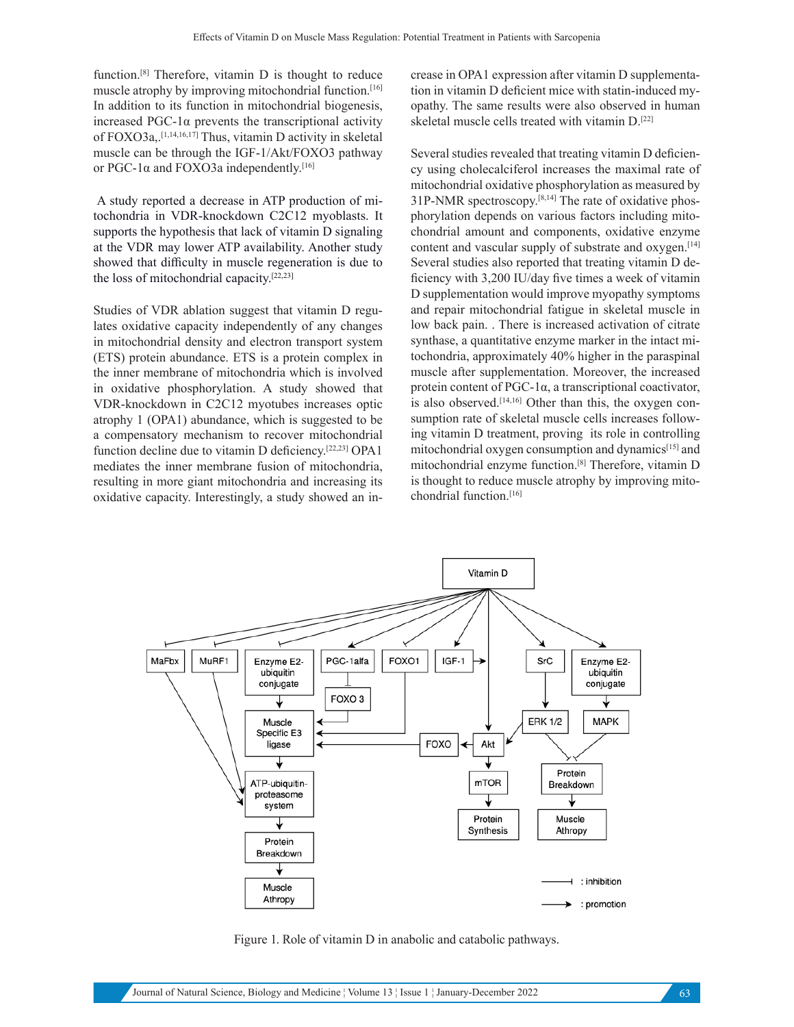function.[8] Therefore, vitamin D is thought to reduce muscle atrophy by improving mitochondrial function.<sup>[16]</sup> In addition to its function in mitochondrial biogenesis, increased PGC-1α prevents the transcriptional activity of FOXO3a,.[1,14,16,17] Thus, vitamin D activity in skeletal muscle can be through the IGF-1/Akt/FOXO3 pathway or PGC-1α and FOXO3a independently.[16]

 A study reported a decrease in ATP production of mitochondria in VDR-knockdown C2C12 myoblasts. It supports the hypothesis that lack of vitamin D signaling at the VDR may lower ATP availability. Another study showed that difficulty in muscle regeneration is due to the loss of mitochondrial capacity.[22,23]

Studies of VDR ablation suggest that vitamin D regulates oxidative capacity independently of any changes in mitochondrial density and electron transport system (ETS) protein abundance. ETS is a protein complex in the inner membrane of mitochondria which is involved in oxidative phosphorylation. A study showed that VDR-knockdown in C2C12 myotubes increases optic atrophy 1 (OPA1) abundance, which is suggested to be a compensatory mechanism to recover mitochondrial function decline due to vitamin D deficiency.[22,23] OPA1 mediates the inner membrane fusion of mitochondria, resulting in more giant mitochondria and increasing its oxidative capacity. Interestingly, a study showed an increase in OPA1 expression after vitamin D supplementation in vitamin D deficient mice with statin-induced myopathy. The same results were also observed in human skeletal muscle cells treated with vitamin D.[22]

Several studies revealed that treating vitamin D deficiency using cholecalciferol increases the maximal rate of mitochondrial oxidative phosphorylation as measured by 31P-NMR spectroscopy.[8,14] The rate of oxidative phosphorylation depends on various factors including mitochondrial amount and components, oxidative enzyme content and vascular supply of substrate and oxygen.<sup>[14]</sup> Several studies also reported that treating vitamin D deficiency with 3,200 IU/day five times a week of vitamin D supplementation would improve myopathy symptoms and repair mitochondrial fatigue in skeletal muscle in low back pain. . There is increased activation of citrate synthase, a quantitative enzyme marker in the intact mitochondria, approximately 40% higher in the paraspinal muscle after supplementation. Moreover, the increased protein content of PGC-1α, a transcriptional coactivator, is also observed. $[14,16]$  Other than this, the oxygen consumption rate of skeletal muscle cells increases following vitamin D treatment, proving its role in controlling mitochondrial oxygen consumption and dynamics[15] and mitochondrial enzyme function.[8] Therefore, vitamin D is thought to reduce muscle atrophy by improving mitochondrial function.[16]



Figure 1. Role of vitamin D in anabolic and catabolic pathways.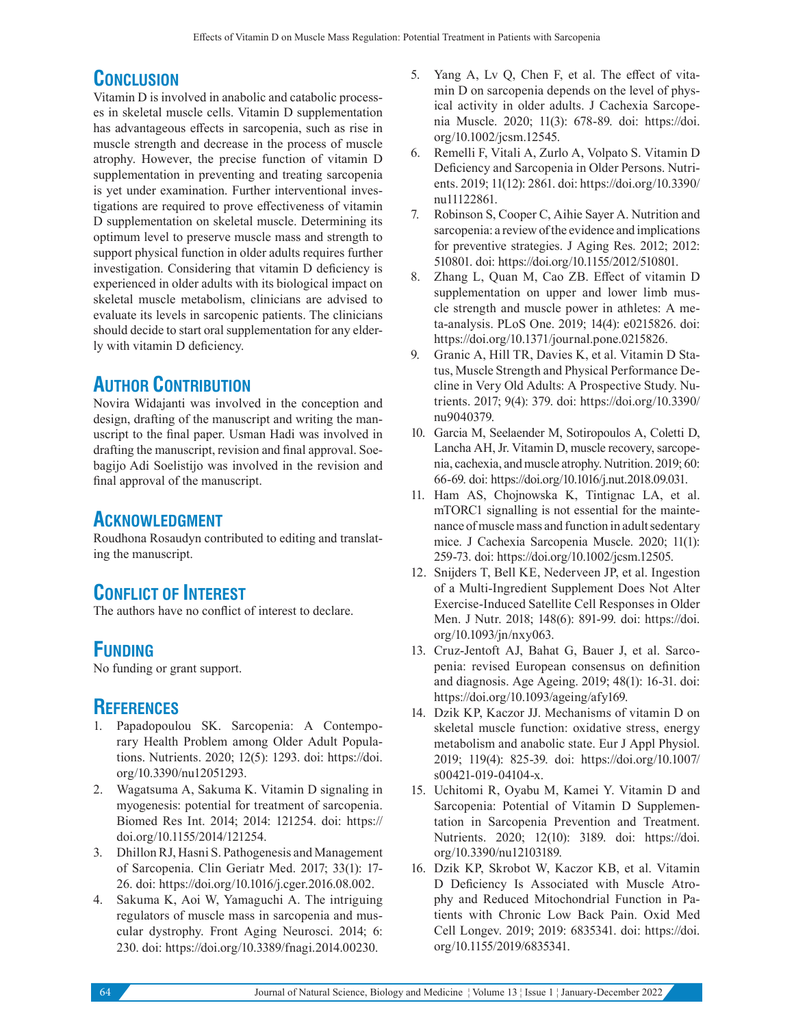# **CONCLUSION**

Vitamin D is involved in anabolic and catabolic processes in skeletal muscle cells. Vitamin D supplementation has advantageous effects in sarcopenia, such as rise in muscle strength and decrease in the process of muscle atrophy. However, the precise function of vitamin D supplementation in preventing and treating sarcopenia is yet under examination. Further interventional investigations are required to prove effectiveness of vitamin D supplementation on skeletal muscle. Determining its optimum level to preserve muscle mass and strength to support physical function in older adults requires further investigation. Considering that vitamin D deficiency is experienced in older adults with its biological impact on skeletal muscle metabolism, clinicians are advised to evaluate its levels in sarcopenic patients. The clinicians should decide to start oral supplementation for any elderly with vitamin D deficiency.

## **AUTHOR CONTRIBUTION**

Novira Widajanti was involved in the conception and design, drafting of the manuscript and writing the manuscript to the final paper. Usman Hadi was involved in drafting the manuscript, revision and final approval. Soebagijo Adi Soelistijo was involved in the revision and final approval of the manuscript.

### **ACKNOWLEDGMENT**

Roudhona Rosaudyn contributed to editing and translating the manuscript.

# **CONFLICT OF INTEREST**

The authors have no conflict of interest to declare.

### **FUNDING**

No funding or grant support.

#### **REFERENCES**

- 1. Papadopoulou SK. Sarcopenia: A Contemporary Health Problem among Older Adult Populations. Nutrients. 2020; 12(5): 1293. doi: https://doi. org/10.3390/nu12051293.
- 2. Wagatsuma A, Sakuma K. Vitamin D signaling in myogenesis: potential for treatment of sarcopenia. Biomed Res Int. 2014; 2014: 121254. doi: https:// doi.org/10.1155/2014/121254.
- 3. Dhillon RJ, Hasni S. Pathogenesis and Management of Sarcopenia. Clin Geriatr Med. 2017; 33(1): 17- 26. doi: https://doi.org/10.1016/j.cger.2016.08.002.
- 4. Sakuma K, Aoi W, Yamaguchi A. The intriguing regulators of muscle mass in sarcopenia and muscular dystrophy. Front Aging Neurosci. 2014; 6: 230. doi: https://doi.org/10.3389/fnagi.2014.00230.
- 5. Yang A, Lv Q, Chen F, et al. The effect of vitamin D on sarcopenia depends on the level of physical activity in older adults. J Cachexia Sarcopenia Muscle. 2020; 11(3): 678-89. doi: https://doi. org/10.1002/jcsm.12545.
- 6. Remelli F, Vitali A, Zurlo A, Volpato S. Vitamin D Deficiency and Sarcopenia in Older Persons. Nutrients. 2019; 11(12): 2861. doi: https://doi.org/10.3390/ nu11122861.
- 7. Robinson S, Cooper C, Aihie Sayer A. Nutrition and sarcopenia: a review of the evidence and implications for preventive strategies. J Aging Res. 2012; 2012: 510801. doi: https://doi.org/10.1155/2012/510801.
- 8. Zhang L, Quan M, Cao ZB. Effect of vitamin D supplementation on upper and lower limb muscle strength and muscle power in athletes: A meta-analysis. PLoS One. 2019; 14(4): e0215826. doi: https://doi.org/10.1371/journal.pone.0215826.
- 9. Granic A, Hill TR, Davies K, et al. Vitamin D Status, Muscle Strength and Physical Performance Decline in Very Old Adults: A Prospective Study. Nutrients. 2017; 9(4): 379. doi: https://doi.org/10.3390/ nu9040379.
- 10. Garcia M, Seelaender M, Sotiropoulos A, Coletti D, Lancha AH, Jr. Vitamin D, muscle recovery, sarcopenia, cachexia, and muscle atrophy. Nutrition. 2019; 60: 66-69. doi: https://doi.org/10.1016/j.nut.2018.09.031.
- 11. Ham AS, Chojnowska K, Tintignac LA, et al. mTORC1 signalling is not essential for the maintenance of muscle mass and function in adult sedentary mice. J Cachexia Sarcopenia Muscle. 2020; 11(1): 259-73. doi: https://doi.org/10.1002/jcsm.12505.
- 12. Snijders T, Bell KE, Nederveen JP, et al. Ingestion of a Multi-Ingredient Supplement Does Not Alter Exercise-Induced Satellite Cell Responses in Older Men. J Nutr. 2018; 148(6): 891-99. doi: https://doi. org/10.1093/jn/nxy063.
- 13. Cruz-Jentoft AJ, Bahat G, Bauer J, et al. Sarcopenia: revised European consensus on definition and diagnosis. Age Ageing. 2019; 48(1): 16-31. doi: https://doi.org/10.1093/ageing/afy169.
- 14. Dzik KP, Kaczor JJ. Mechanisms of vitamin D on skeletal muscle function: oxidative stress, energy metabolism and anabolic state. Eur J Appl Physiol. 2019; 119(4): 825-39. doi: https://doi.org/10.1007/ s00421-019-04104-x.
- 15. Uchitomi R, Oyabu M, Kamei Y. Vitamin D and Sarcopenia: Potential of Vitamin D Supplementation in Sarcopenia Prevention and Treatment. Nutrients. 2020; 12(10): 3189. doi: https://doi. org/10.3390/nu12103189.
- 16. Dzik KP, Skrobot W, Kaczor KB, et al. Vitamin D Deficiency Is Associated with Muscle Atrophy and Reduced Mitochondrial Function in Patients with Chronic Low Back Pain. Oxid Med Cell Longev. 2019; 2019: 6835341. doi: https://doi. org/10.1155/2019/6835341.